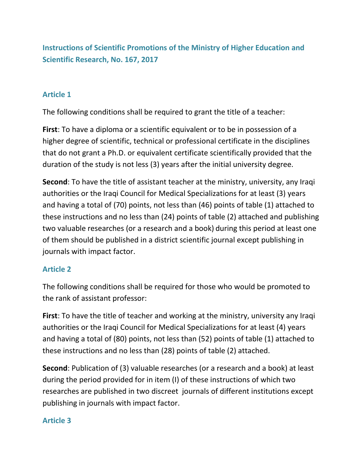**Instructions of Scientific Promotions of the Ministry of Higher Education and Scientific Research, No. 167, 2017**

#### **Article 1**

The following conditions shall be required to grant the title of a teacher:

**First**: To have a diploma or a scientific equivalent or to be in possession of a higher degree of scientific, technical or professional certificate in the disciplines that do not grant a Ph.D. or equivalent certificate scientifically provided that the duration of the study is not less (3) years after the initial university degree.

**Second**: To have the title of assistant teacher at the ministry, university, any Iraqi authorities or the Iraqi Council for Medical Specializations for at least (3) years and having a total of (70) points, not less than (46) points of table (1) attached to these instructions and no less than (24) points of table (2) attached and publishing two valuable researches (or a research and a book) during this period at least one of them should be published in a district scientific journal except publishing in journals with impact factor.

### **Article 2**

The following conditions shall be required for those who would be promoted to the rank of assistant professor:

**First**: To have the title of teacher and working at the ministry, university any Iraqi authorities or the Iraqi Council for Medical Specializations for at least (4) years and having a total of (80) points, not less than (52) points of table (1) attached to these instructions and no less than (28) points of table (2) attached.

**Second**: Publication of (3) valuable researches (or a research and a book) at least during the period provided for in item (I) of these instructions of which two researches are published in two discreet journals of different institutions except publishing in journals with impact factor.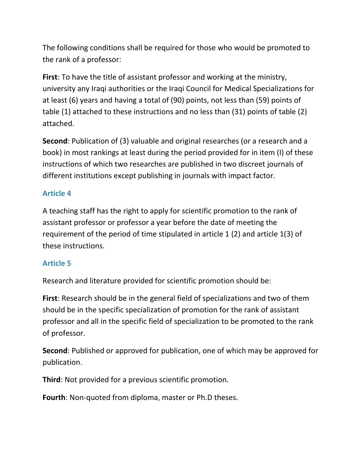The following conditions shall be required for those who would be promoted to the rank of a professor:

**First**: To have the title of assistant professor and working at the ministry, university any Iraqi authorities or the Iraqi Council for Medical Specializations for at least (6) years and having a total of (90) points, not less than (59) points of table (1) attached to these instructions and no less than (31) points of table (2) attached.

**Second**: Publication of (3) valuable and original researches (or a research and a book) in most rankings at least during the period provided for in item (I) of these instructions of which two researches are published in two discreet journals of different institutions except publishing in journals with impact factor.

## **Article 4**

A teaching staff has the right to apply for scientific promotion to the rank of assistant professor or professor a year before the date of meeting the requirement of the period of time stipulated in article 1 (2) and article 1(3) of these instructions.

## **Article 5**

Research and literature provided for scientific promotion should be:

**First**: Research should be in the general field of specializations and two of them should be in the specific specialization of promotion for the rank of assistant professor and all in the specific field of specialization to be promoted to the rank of professor.

**Second**: Published or approved for publication, one of which may be approved for publication.

**Third**: Not provided for a previous scientific promotion.

**Fourth**: Non-quoted from diploma, master or Ph.D theses.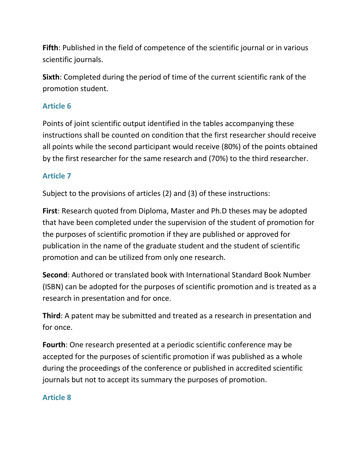**Fifth**: Published in the field of competence of the scientific journal or in various scientific journals.

**Sixth**: Completed during the period of time of the current scientific rank of the promotion student.

### **Article 6**

Points of joint scientific output identified in the tables accompanying these instructions shall be counted on condition that the first researcher should receive all points while the second participant would receive (80%) of the points obtained by the first researcher for the same research and (70%) to the third researcher.

## **Article 7**

Subject to the provisions of articles (2) and (3) of these instructions:

**First**: Research quoted from Diploma, Master and Ph.D theses may be adopted that have been completed under the supervision of the student of promotion for the purposes of scientific promotion if they are published or approved for publication in the name of the graduate student and the student of scientific promotion and can be utilized from only one research.

**Second**: Authored or translated book with International Standard Book Number (ISBN) can be adopted for the purposes of scientific promotion and is treated as a research in presentation and for once.

**Third**: A patent may be submitted and treated as a research in presentation and for once.

**Fourth**: One research presented at a periodic scientific conference may be accepted for the purposes of scientific promotion if was published as a whole during the proceedings of the conference or published in accredited scientific journals but not to accept its summary the purposes of promotion.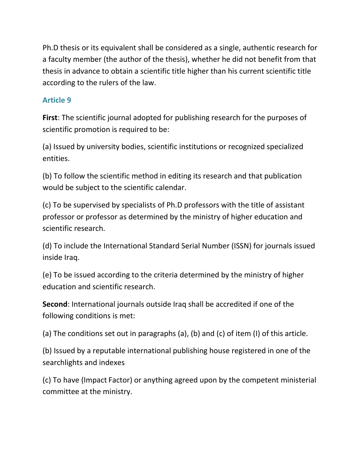Ph.D thesis or its equivalent shall be considered as a single, authentic research for a faculty member (the author of the thesis), whether he did not benefit from that thesis in advance to obtain a scientific title higher than his current scientific title according to the rulers of the law.

### **Article 9**

**First**: The scientific journal adopted for publishing research for the purposes of scientific promotion is required to be:

(a) Issued by university bodies, scientific institutions or recognized specialized entities.

(b) To follow the scientific method in editing its research and that publication would be subject to the scientific calendar.

(c) To be supervised by specialists of Ph.D professors with the title of assistant professor or professor as determined by the ministry of higher education and scientific research.

(d) To include the International Standard Serial Number (ISSN) for journals issued inside Iraq.

(e) To be issued according to the criteria determined by the ministry of higher education and scientific research.

**Second**: International journals outside Iraq shall be accredited if one of the following conditions is met:

(a) The conditions set out in paragraphs (a), (b) and (c) of item (I) of this article.

(b) Issued by a reputable international publishing house registered in one of the searchlights and indexes

(c) To have (Impact Factor) or anything agreed upon by the competent ministerial committee at the ministry.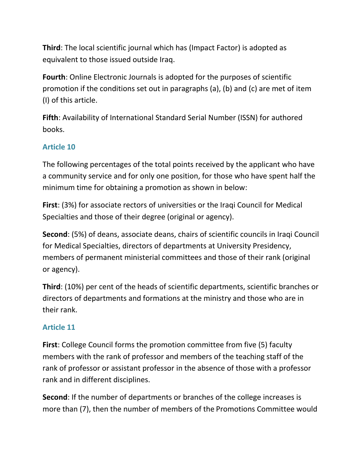**Third**: The local scientific journal which has (Impact Factor) is adopted as equivalent to those issued outside Iraq.

**Fourth**: Online Electronic Journals is adopted for the purposes of scientific promotion if the conditions set out in paragraphs (a), (b) and (c) are met of item (I) of this article.

**Fifth**: Availability of International Standard Serial Number (ISSN) for authored books.

# **Article 10**

The following percentages of the total points received by the applicant who have a community service and for only one position, for those who have spent half the minimum time for obtaining a promotion as shown in below:

**First**: (3%) for associate rectors of universities or the Iraqi Council for Medical Specialties and those of their degree (original or agency).

**Second**: (5%) of deans, associate deans, chairs of scientific councils in Iraqi Council for Medical Specialties, directors of departments at University Presidency, members of permanent ministerial committees and those of their rank (original or agency).

**Third**: (10%) per cent of the heads of scientific departments, scientific branches or directors of departments and formations at the ministry and those who are in their rank.

## **Article 11**

**First**: College Council forms the promotion committee from five (5) faculty members with the rank of professor and members of the teaching staff of the rank of professor or assistant professor in the absence of those with a professor rank and in different disciplines.

**Second**: If the number of departments or branches of the college increases is more than (7), then the number of members of the Promotions Committee would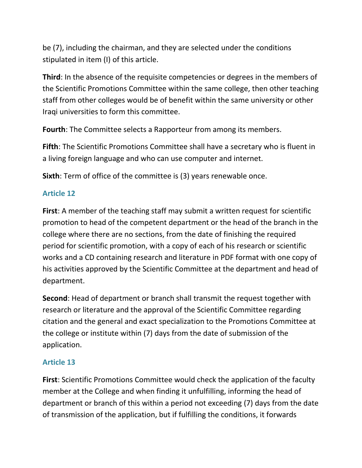be (7), including the chairman, and they are selected under the conditions stipulated in item (I) of this article.

**Third**: In the absence of the requisite competencies or degrees in the members of the Scientific Promotions Committee within the same college, then other teaching staff from other colleges would be of benefit within the same university or other Iraqi universities to form this committee.

**Fourth**: The Committee selects a Rapporteur from among its members.

**Fifth**: The Scientific Promotions Committee shall have a secretary who is fluent in a living foreign language and who can use computer and internet.

**Sixth**: Term of office of the committee is (3) years renewable once.

### **Article 12**

**First**: A member of the teaching staff may submit a written request for scientific promotion to head of the competent department or the head of the branch in the college where there are no sections, from the date of finishing the required period for scientific promotion, with a copy of each of his research or scientific works and a CD containing research and literature in PDF format with one copy of his activities approved by the Scientific Committee at the department and head of department.

**Second**: Head of department or branch shall transmit the request together with research or literature and the approval of the Scientific Committee regarding citation and the general and exact specialization to the Promotions Committee at the college or institute within (7) days from the date of submission of the application.

### **Article 13**

**First**: Scientific Promotions Committee would check the application of the faculty member at the College and when finding it unfulfilling, informing the head of department or branch of this within a period not exceeding (7) days from the date of transmission of the application, but if fulfilling the conditions, it forwards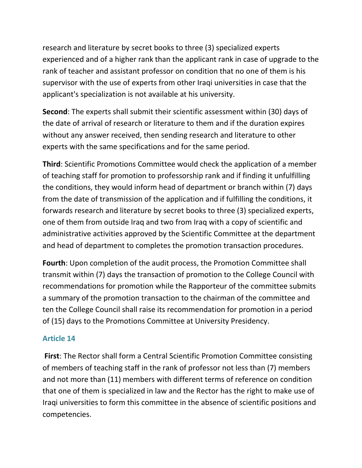research and literature by secret books to three (3) specialized experts experienced and of a higher rank than the applicant rank in case of upgrade to the rank of teacher and assistant professor on condition that no one of them is his supervisor with the use of experts from other Iraqi universities in case that the applicant's specialization is not available at his university.

**Second**: The experts shall submit their scientific assessment within (30) days of the date of arrival of research or literature to them and if the duration expires without any answer received, then sending research and literature to other experts with the same specifications and for the same period.

**Third**: Scientific Promotions Committee would check the application of a member of teaching staff for promotion to professorship rank and if finding it unfulfilling the conditions, they would inform head of department or branch within (7) days from the date of transmission of the application and if fulfilling the conditions, it forwards research and literature by secret books to three (3) specialized experts, one of them from outside Iraq and two from Iraq with a copy of scientific and administrative activities approved by the Scientific Committee at the department and head of department to completes the promotion transaction procedures.

**Fourth**: Upon completion of the audit process, the Promotion Committee shall transmit within (7) days the transaction of promotion to the College Council with recommendations for promotion while the Rapporteur of the committee submits a summary of the promotion transaction to the chairman of the committee and ten the College Council shall raise its recommendation for promotion in a period of (15) days to the Promotions Committee at University Presidency.

### **Article 14**

**First**: The Rector shall form a Central Scientific Promotion Committee consisting of members of teaching staff in the rank of professor not less than (7) members and not more than (11) members with different terms of reference on condition that one of them is specialized in law and the Rector has the right to make use of Iraqi universities to form this committee in the absence of scientific positions and competencies.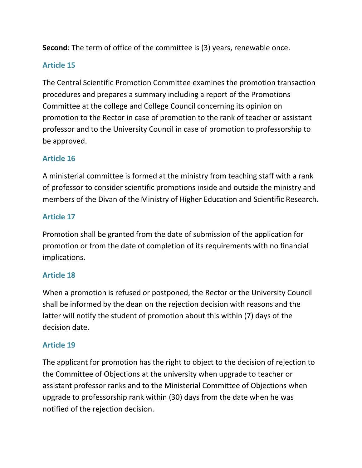**Second**: The term of office of the committee is (3) years, renewable once.

### **Article 15**

The Central Scientific Promotion Committee examines the promotion transaction procedures and prepares a summary including a report of the Promotions Committee at the college and College Council concerning its opinion on promotion to the Rector in case of promotion to the rank of teacher or assistant professor and to the University Council in case of promotion to professorship to be approved.

### **Article 16**

A ministerial committee is formed at the ministry from teaching staff with a rank of professor to consider scientific promotions inside and outside the ministry and members of the Divan of the Ministry of Higher Education and Scientific Research.

## **Article 17**

Promotion shall be granted from the date of submission of the application for promotion or from the date of completion of its requirements with no financial implications.

### **Article 18**

When a promotion is refused or postponed, the Rector or the University Council shall be informed by the dean on the rejection decision with reasons and the latter will notify the student of promotion about this within (7) days of the decision date.

### **Article 19**

The applicant for promotion has the right to object to the decision of rejection to the Committee of Objections at the university when upgrade to teacher or assistant professor ranks and to the Ministerial Committee of Objections when upgrade to professorship rank within (30) days from the date when he was notified of the rejection decision.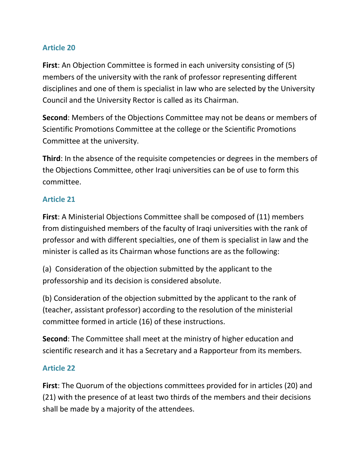### **Article 20**

**First**: An Objection Committee is formed in each university consisting of (5) members of the university with the rank of professor representing different disciplines and one of them is specialist in law who are selected by the University Council and the University Rector is called as its Chairman.

**Second**: Members of the Objections Committee may not be deans or members of Scientific Promotions Committee at the college or the Scientific Promotions Committee at the university.

**Third**: In the absence of the requisite competencies or degrees in the members of the Objections Committee, other Iraqi universities can be of use to form this committee.

### **Article 21**

**First**: A Ministerial Objections Committee shall be composed of (11) members from distinguished members of the faculty of Iraqi universities with the rank of professor and with different specialties, one of them is specialist in law and the minister is called as its Chairman whose functions are as the following:

(a) Consideration of the objection submitted by the applicant to the professorship and its decision is considered absolute.

(b) Consideration of the objection submitted by the applicant to the rank of (teacher, assistant professor) according to the resolution of the ministerial committee formed in article (16) of these instructions.

**Second**: The Committee shall meet at the ministry of higher education and scientific research and it has a Secretary and a Rapporteur from its members.

### **Article 22**

**First**: The Quorum of the objections committees provided for in articles (20) and (21) with the presence of at least two thirds of the members and their decisions shall be made by a majority of the attendees.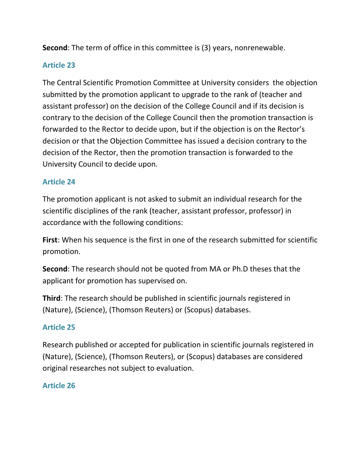**Second**: The term of office in this committee is (3) years, nonrenewable.

### **Article 23**

The Central Scientific Promotion Committee at University considers the objection submitted by the promotion applicant to upgrade to the rank of (teacher and assistant professor) on the decision of the College Council and if its decision is contrary to the decision of the College Council then the promotion transaction is forwarded to the Rector to decide upon, but if the objection is on the Rector's decision or that the Objection Committee has issued a decision contrary to the decision of the Rector, then the promotion transaction is forwarded to the University Council to decide upon.

### **Article 24**

The promotion applicant is not asked to submit an individual research for the scientific disciplines of the rank (teacher, assistant professor, professor) in accordance with the following conditions:

**First**: When his sequence is the first in one of the research submitted for scientific promotion.

**Second**: The research should not be quoted from MA or Ph.D theses that the applicant for promotion has supervised on.

**Third**: The research should be published in scientific journals registered in (Nature), (Science), (Thomson Reuters) or (Scopus) databases.

## **Article 25**

Research published or accepted for publication in scientific journals registered in (Nature), (Science), (Thomson Reuters), or (Scopus) databases are considered original researches not subject to evaluation.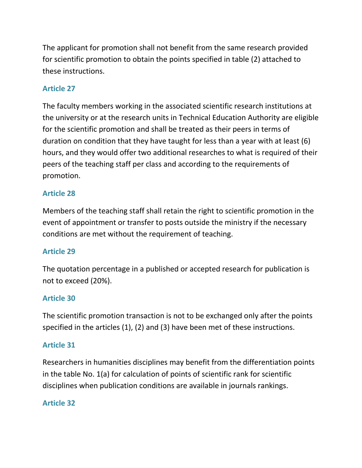The applicant for promotion shall not benefit from the same research provided for scientific promotion to obtain the points specified in table (2) attached to these instructions.

# **Article 27**

The faculty members working in the associated scientific research institutions at the university or at the research units in Technical Education Authority are eligible for the scientific promotion and shall be treated as their peers in terms of duration on condition that they have taught for less than a year with at least (6) hours, and they would offer two additional researches to what is required of their peers of the teaching staff per class and according to the requirements of promotion.

# **Article 28**

Members of the teaching staff shall retain the right to scientific promotion in the event of appointment or transfer to posts outside the ministry if the necessary conditions are met without the requirement of teaching.

## **Article 29**

The quotation percentage in a published or accepted research for publication is not to exceed (20%).

## **Article 30**

The scientific promotion transaction is not to be exchanged only after the points specified in the articles (1), (2) and (3) have been met of these instructions.

## **Article 31**

Researchers in humanities disciplines may benefit from the differentiation points in the table No. 1(a) for calculation of points of scientific rank for scientific disciplines when publication conditions are available in journals rankings.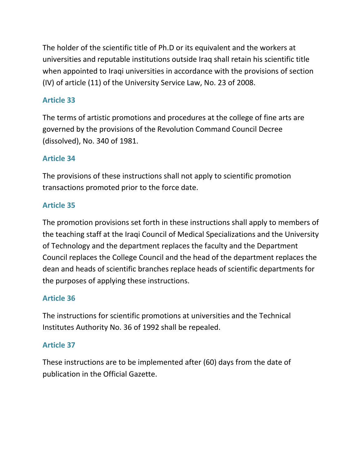The holder of the scientific title of Ph.D or its equivalent and the workers at universities and reputable institutions outside Iraq shall retain his scientific title when appointed to Iraqi universities in accordance with the provisions of section (IV) of article (11) of the University Service Law, No. 23 of 2008.

## **Article 33**

The terms of artistic promotions and procedures at the college of fine arts are governed by the provisions of the Revolution Command Council Decree (dissolved), No. 340 of 1981.

## **Article 34**

The provisions of these instructions shall not apply to scientific promotion transactions promoted prior to the force date.

### **Article 35**

The promotion provisions set forth in these instructions shall apply to members of the teaching staff at the Iraqi Council of Medical Specializations and the University of Technology and the department replaces the faculty and the Department Council replaces the College Council and the head of the department replaces the dean and heads of scientific branches replace heads of scientific departments for the purposes of applying these instructions.

## **Article 36**

The instructions for scientific promotions at universities and the Technical Institutes Authority No. 36 of 1992 shall be repealed.

## **Article 37**

These instructions are to be implemented after (60) days from the date of publication in the Official Gazette.